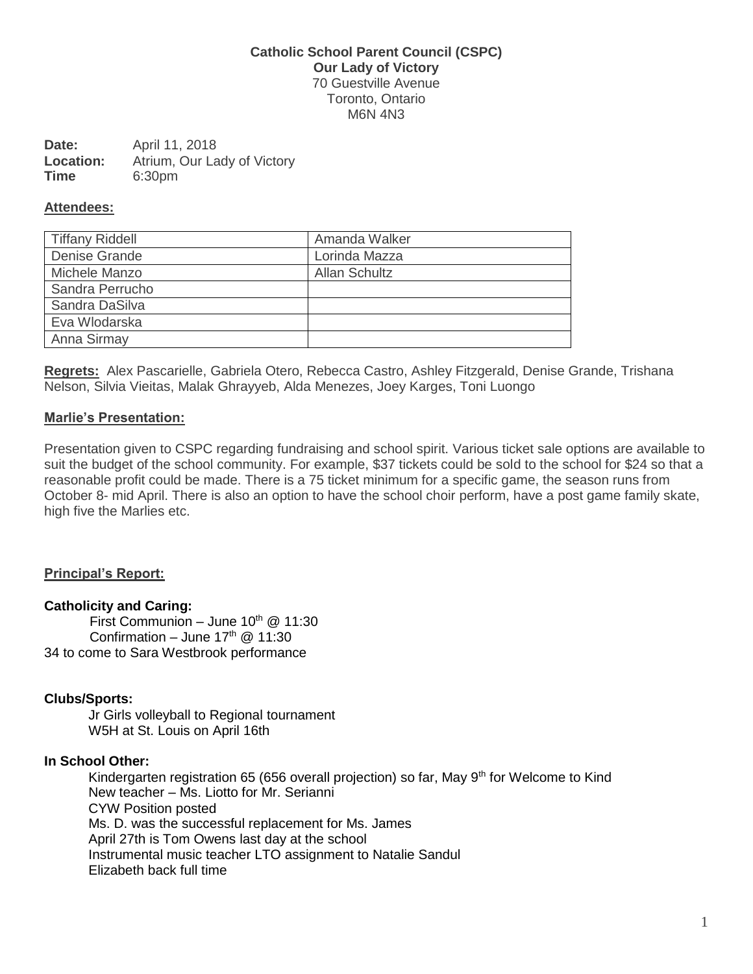### **Catholic School Parent Council (CSPC) Our Lady of Victory** 70 Guestville Avenue Toronto, Ontario M6N 4N3

#### **Date:** April 11, 2018 **Location:** Atrium, Our Lady of Victory **Time** 6:30pm

### **Attendees:**

| <b>Tiffany Riddell</b> | Amanda Walker        |
|------------------------|----------------------|
| Denise Grande          | Lorinda Mazza        |
| Michele Manzo          | <b>Allan Schultz</b> |
| Sandra Perrucho        |                      |
| Sandra DaSilva         |                      |
| Eva Wlodarska          |                      |
| Anna Sirmay            |                      |

**Regrets:** Alex Pascarielle, Gabriela Otero, Rebecca Castro, Ashley Fitzgerald, Denise Grande, Trishana Nelson, Silvia Vieitas, Malak Ghrayyeb, Alda Menezes, Joey Karges, Toni Luongo

### **Marlie's Presentation:**

Presentation given to CSPC regarding fundraising and school spirit. Various ticket sale options are available to suit the budget of the school community. For example, \$37 tickets could be sold to the school for \$24 so that a reasonable profit could be made. There is a 75 ticket minimum for a specific game, the season runs from October 8- mid April. There is also an option to have the school choir perform, have a post game family skate, high five the Marlies etc.

### **Principal's Report:**

#### **Catholicity and Caring:**

First Communion – June  $10^{th}$   $@$  11:30 Confirmation – June  $17<sup>th</sup>$  @ 11:30 34 to come to Sara Westbrook performance

#### **Clubs/Sports:**

Jr Girls volleyball to Regional tournament W5H at St. Louis on April 16th

#### **In School Other:**

Kindergarten registration 65 (656 overall projection) so far, May  $9<sup>th</sup>$  for Welcome to Kind New teacher – Ms. Liotto for Mr. Serianni CYW Position posted Ms. D. was the successful replacement for Ms. James April 27th is Tom Owens last day at the school Instrumental music teacher LTO assignment to Natalie Sandul Elizabeth back full time